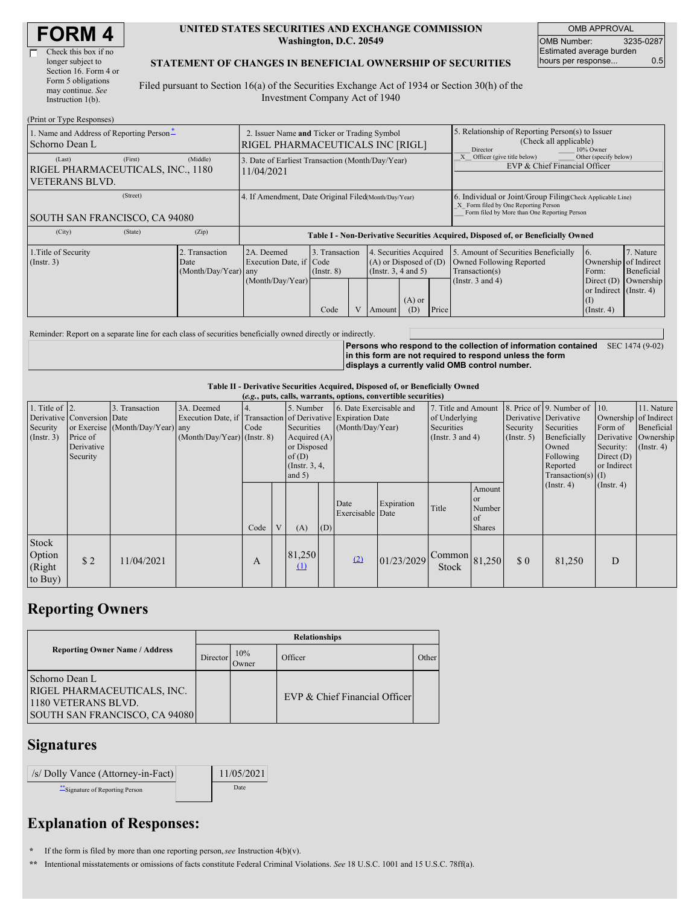| <b>FORM4</b> |
|--------------|
|--------------|

| Check this box if no  |
|-----------------------|
| longer subject to     |
| Section 16. Form 4 or |
| Form 5 obligations    |
| may continue. See     |
| Instruction 1(b).     |
|                       |

#### **UNITED STATES SECURITIES AND EXCHANGE COMMISSION Washington, D.C. 20549**

OMB APPROVAL OMB Number: 3235-0287 Estimated average burden hours per response... 0.5

### **STATEMENT OF CHANGES IN BENEFICIAL OWNERSHIP OF SECURITIES**

Filed pursuant to Section 16(a) of the Securities Exchange Act of 1934 or Section 30(h) of the Investment Company Act of 1940

| (Print or Type Responses)                                                       |                                                                                                            |                                                                |                                           |  |                                                                                        |                                                                                  |                                                                                                     |                                                                                                                                                    |                                                                                                           |                                      |  |
|---------------------------------------------------------------------------------|------------------------------------------------------------------------------------------------------------|----------------------------------------------------------------|-------------------------------------------|--|----------------------------------------------------------------------------------------|----------------------------------------------------------------------------------|-----------------------------------------------------------------------------------------------------|----------------------------------------------------------------------------------------------------------------------------------------------------|-----------------------------------------------------------------------------------------------------------|--------------------------------------|--|
| 1. Name and Address of Reporting Person-<br>Schorno Dean L                      | 2. Issuer Name and Ticker or Trading Symbol<br>RIGEL PHARMACEUTICALS INC [RIGL]                            |                                                                |                                           |  |                                                                                        |                                                                                  | 5. Relationship of Reporting Person(s) to Issuer<br>(Check all applicable)<br>Director<br>10% Owner |                                                                                                                                                    |                                                                                                           |                                      |  |
| (Last)<br>(First)<br>RIGEL PHARMACEUTICALS, INC., 1180<br><b>VETERANS BLVD.</b> | (Middle)                                                                                                   | 3. Date of Earliest Transaction (Month/Day/Year)<br>11/04/2021 |                                           |  |                                                                                        |                                                                                  |                                                                                                     | Other (specify below)<br>Officer (give title below)<br>EVP & Chief Financial Officer                                                               |                                                                                                           |                                      |  |
| (Street)<br>SOUTH SAN FRANCISCO, CA 94080                                       |                                                                                                            | 4. If Amendment, Date Original Filed Month/Day/Year)           |                                           |  |                                                                                        |                                                                                  |                                                                                                     | 6. Individual or Joint/Group Filing Check Applicable Line)<br>X Form filed by One Reporting Person<br>Form filed by More than One Reporting Person |                                                                                                           |                                      |  |
| (City)<br>(State)                                                               | (Zip)                                                                                                      |                                                                |                                           |  |                                                                                        | Table I - Non-Derivative Securities Acquired, Disposed of, or Beneficially Owned |                                                                                                     |                                                                                                                                                    |                                                                                                           |                                      |  |
| 1. Title of Security<br>(Insert. 3)                                             | Transaction<br>2A. Deemed<br>Execution Date, if Code<br>Date<br>$(Month/Day/Year)$ any<br>(Month/Day/Year) |                                                                | 3. Transaction<br>$($ Instr. $8)$<br>Code |  | 4. Securities Acquired<br>$(A)$ or Disposed of $(D)$<br>(Insert. 3, 4 and 5)<br>Amount | $(A)$ or<br>(D)                                                                  | Price                                                                                               | 5. Amount of Securities Beneficially<br>Owned Following Reported<br>Transaction(s)<br>(Instr. $3$ and $4$ )                                        | 6.<br>Ownership of Indirect<br>Form:<br>Direct $(D)$<br>or Indirect (Instr. 4)<br>(I)<br>$($ Instr. 4 $)$ | 7. Nature<br>Beneficial<br>Ownership |  |

Reminder: Report on a separate line for each class of securities beneficially owned directly or indirectly.

**Persons who respond to the collection of information contained** SEC 1474 (9-02) **in this form are not required to respond unless the form displays a currently valid OMB control number.**

#### **Table II - Derivative Securities Acquired, Disposed of, or Beneficially Owned**

| (e.g., puts, calls, warrants, options, convertible securities) |                                                                  |                                                    |                                                                                                             |      |   |                                                                                                     |     |                                             |            |                                                                             |                                                      |                                                  |                                                                                                                      |                                                                              |                                                                      |
|----------------------------------------------------------------|------------------------------------------------------------------|----------------------------------------------------|-------------------------------------------------------------------------------------------------------------|------|---|-----------------------------------------------------------------------------------------------------|-----|---------------------------------------------|------------|-----------------------------------------------------------------------------|------------------------------------------------------|--------------------------------------------------|----------------------------------------------------------------------------------------------------------------------|------------------------------------------------------------------------------|----------------------------------------------------------------------|
| 1. Title of $ 2$ .<br>Security<br>(Insert. 3)                  | Derivative Conversion Date<br>Price of<br>Derivative<br>Security | 3. Transaction<br>or Exercise (Month/Day/Year) any | 3A. Deemed<br>Execution Date, if Transaction of Derivative Expiration Date<br>$(Month/Day/Year)$ (Instr. 8) | Code |   | 5. Number<br>Securities<br>Acquired $(A)$<br>or Disposed<br>of $(D)$<br>(Instr. $3, 4,$<br>and $5)$ |     | 6. Date Exercisable and<br>(Month/Day/Year) |            | 7. Title and Amount<br>of Underlying<br>Securities<br>(Instr. $3$ and $4$ ) |                                                      | Derivative Derivative<br>Security<br>(Insert. 5) | 8. Price of 9. Number of 10.<br>Securities<br>Beneficially<br>Owned<br>Following<br>Reported<br>$Transaction(s)$ (I) | Ownership of Indirect<br>Form of<br>Security:<br>Direct $(D)$<br>or Indirect | 11. Nature<br>Beneficial<br>Derivative Ownership<br>$($ Instr. 4 $)$ |
|                                                                |                                                                  |                                                    |                                                                                                             | Code | V | (A)                                                                                                 | (D) | Date<br>Exercisable Date                    | Expiration | Title                                                                       | Amount<br><b>or</b><br>Number<br>of<br><b>Shares</b> |                                                  | $($ Instr. 4)                                                                                                        | (Insert. 4)                                                                  |                                                                      |
| Stock<br>Option<br>(Right<br>to Buy)                           | \$2                                                              | 11/04/2021                                         |                                                                                                             | A    |   | 81,250<br>$\mathbf{\underline{u}}$                                                                  |     | (2)                                         | 01/23/2029 | $\bigcap_{1}$ Common 81,250<br><b>Stock</b>                                 |                                                      | \$0                                              | 81,250                                                                                                               | D                                                                            |                                                                      |

## **Reporting Owners**

|                                                                                                       | <b>Relationships</b> |              |                               |       |  |  |  |  |
|-------------------------------------------------------------------------------------------------------|----------------------|--------------|-------------------------------|-------|--|--|--|--|
| <b>Reporting Owner Name / Address</b>                                                                 | Director             | 10%<br>Owner | Officer                       | Other |  |  |  |  |
| Schorno Dean L<br>RIGEL PHARMACEUTICALS, INC.<br>1180 VETERANS BLVD.<br>SOUTH SAN FRANCISCO, CA 94080 |                      |              | EVP & Chief Financial Officer |       |  |  |  |  |

### **Signatures**

| /s/ Dolly Vance (Attorney-in-Fact) | 11/05/2021 |
|------------------------------------|------------|
| Signature of Reporting Person      | Date       |

# **Explanation of Responses:**

**\*** If the form is filed by more than one reporting person,*see* Instruction 4(b)(v).

**\*\*** Intentional misstatements or omissions of facts constitute Federal Criminal Violations. *See* 18 U.S.C. 1001 and 15 U.S.C. 78ff(a).